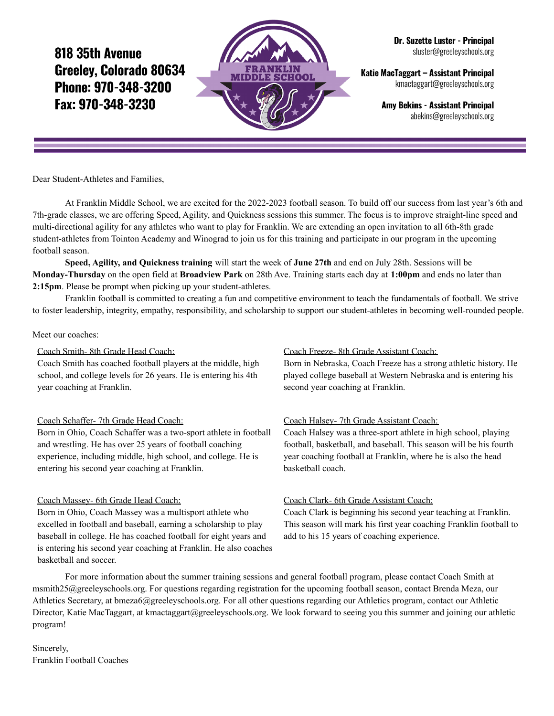818 35th Avenue Greelev. Colorado 80634 Phone: 970-348-3200 Fax: 970-348-3230



Dr. Suzette Luster - Principal sluster@greeleyschools.org

Katie MacTaggart - Assistant Principal kmactaggart@greeleyschools.org

> **Amy Bekins - Assistant Principal** abekins@greeleyschools.org

Dear Student-Athletes and Families,

At Franklin Middle School, we are excited for the 2022-2023 football season. To build off our success from last year's 6th and 7th-grade classes, we are offering Speed, Agility, and Quickness sessions this summer. The focus is to improve straight-line speed and multi-directional agility for any athletes who want to play for Franklin. We are extending an open invitation to all 6th-8th grade student-athletes from Tointon Academy and Winograd to join us for this training and participate in our program in the upcoming football season.

**Speed, Agility, and Quickness training** will start the week of **June 27th** and end on July 28th. Sessions will be **Monday-Thursday** on the open field at **Broadview Park** on 28th Ave. Training starts each day at **1:00pm** and ends no later than **2:15pm**. Please be prompt when picking up your student-athletes.

Franklin football is committed to creating a fun and competitive environment to teach the fundamentals of football. We strive to foster leadership, integrity, empathy, responsibility, and scholarship to support our student-athletes in becoming well-rounded people.

### Meet our coaches:

### Coach Smith- 8th Grade Head Coach:

Coach Smith has coached football players at the middle, high school, and college levels for 26 years. He is entering his 4th year coaching at Franklin.

### Coach Schaffer- 7th Grade Head Coach:

Born in Ohio, Coach Schaffer was a two-sport athlete in football and wrestling. He has over 25 years of football coaching experience, including middle, high school, and college. He is entering his second year coaching at Franklin.

### Coach Massey- 6th Grade Head Coach:

Born in Ohio, Coach Massey was a multisport athlete who excelled in football and baseball, earning a scholarship to play baseball in college. He has coached football for eight years and is entering his second year coaching at Franklin. He also coaches basketball and soccer.

#### Coach Freeze- 8th Grade Assistant Coach:

Born in Nebraska, Coach Freeze has a strong athletic history. He played college baseball at Western Nebraska and is entering his second year coaching at Franklin.

### Coach Halsey- 7th Grade Assistant Coach:

Coach Halsey was a three-sport athlete in high school, playing football, basketball, and baseball. This season will be his fourth year coaching football at Franklin, where he is also the head basketball coach.

### Coach Clark- 6th Grade Assistant Coach:

Coach Clark is beginning his second year teaching at Franklin. This season will mark his first year coaching Franklin football to add to his 15 years of coaching experience.

For more information about the summer training sessions and general football program, please contact Coach Smith at msmith25@greeleyschools.org. For questions regarding registration for the upcoming football season, contact Brenda Meza, our Athletics Secretary, at bmeza6@greeleyschools.org. For all other questions regarding our Athletics program, contact our Athletic Director, Katie MacTaggart, at kmactaggart@greeleyschools.org. We look forward to seeing you this summer and joining our athletic program!

Sincerely, Franklin Football Coaches